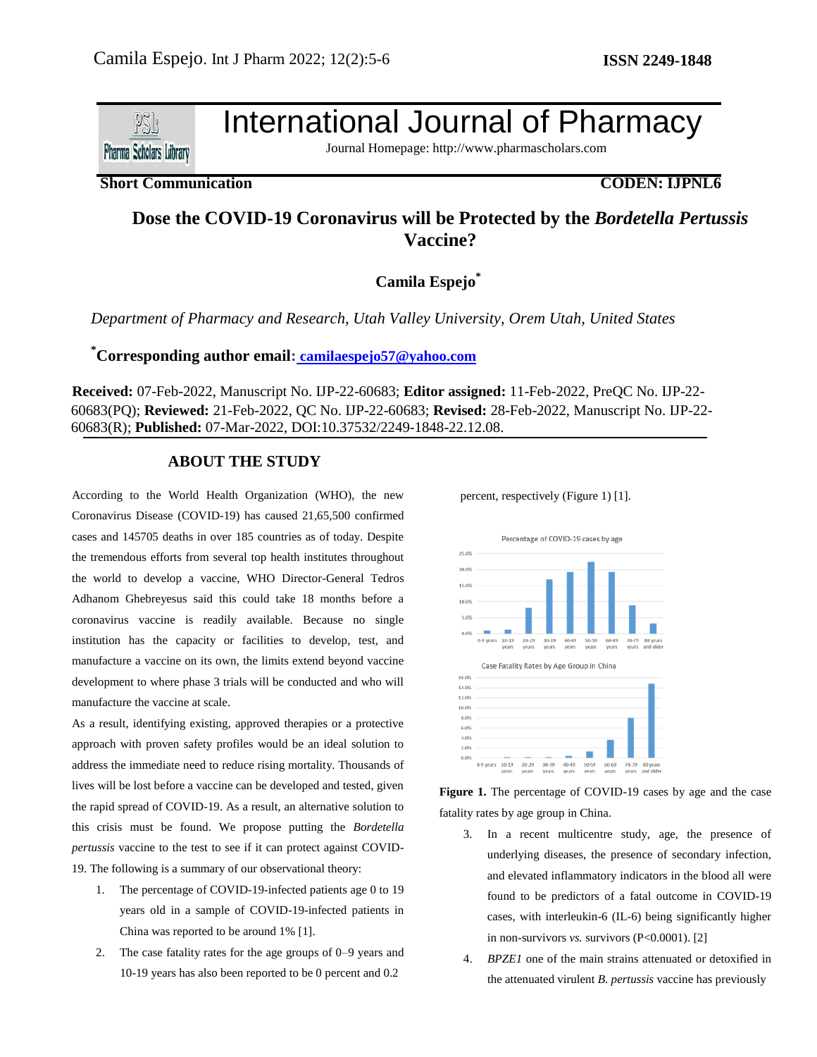

International Journal of Pharmacy

Journal Homepage: http://www.pharmascholars.com

### **Short Communication CODEN: IJPNL6**

# **Dose the COVID-19 Coronavirus will be Protected by the** *Bordetella Pertussis* **Vaccine?**

**Camila Espejo\***

*Department of Pharmacy and Research, Utah Valley University, Orem Utah, United States*

# **\*Corresponding author email: [camilaespejo57@yahoo.com](mailto:%20camilaespejo57@yahoo.com)**

**Received:** 07-Feb-2022, Manuscript No. IJP-22-60683; **Editor assigned:** 11-Feb-2022, PreQC No. IJP-22- 60683(PQ); **Reviewed:** 21-Feb-2022, QC No. IJP-22-60683; **Revised:** 28-Feb-2022, Manuscript No. IJP-22- 60683(R); **Published:** 07-Mar-2022, DOI:10.37532/2249-1848-22.12.08.

# **ABOUT THE STUDY**

According to the World Health Organization (WHO), the new Coronavirus Disease (COVID-19) has caused 21,65,500 confirmed cases and 145705 deaths in over 185 countries as of today. Despite the tremendous efforts from several top health institutes throughout the world to develop a vaccine, WHO Director-General Tedros Adhanom Ghebreyesus said this could take 18 months before a coronavirus vaccine is readily available. Because no single institution has the capacity or facilities to develop, test, and manufacture a vaccine on its own, the limits extend beyond vaccine development to where phase 3 trials will be conducted and who will manufacture the vaccine at scale.

As a result, identifying existing, approved therapies or a protective approach with proven safety profiles would be an ideal solution to address the immediate need to reduce rising mortality. Thousands of lives will be lost before a vaccine can be developed and tested, given the rapid spread of COVID-19. As a result, an alternative solution to this crisis must be found. We propose putting the *Bordetella pertussis* vaccine to the test to see if it can protect against COVID-19. The following is a summary of our observational theory:

- 1. The percentage of COVID-19-infected patients age 0 to 19 years old in a sample of COVID-19-infected patients in China was reported to be around 1% [1].
- 2. The case fatality rates for the age groups of 0–9 years and 10-19 years has also been reported to be 0 percent and 0.2

percent, respectively (Figure 1) [1].



**Figure 1.** The percentage of COVID-19 cases by age and the case fatality rates by age group in China.

- 3. In a recent multicentre study, age, the presence of underlying diseases, the presence of secondary infection, and elevated inflammatory indicators in the blood all were found to be predictors of a fatal outcome in COVID-19 cases, with interleukin-6 (IL-6) being significantly higher in non-survivors *vs.* survivors (P<0.0001). [2]
- 4. *BPZE1* one of the main strains attenuated or detoxified in the attenuated virulent *B. pertussis* vaccine has previously